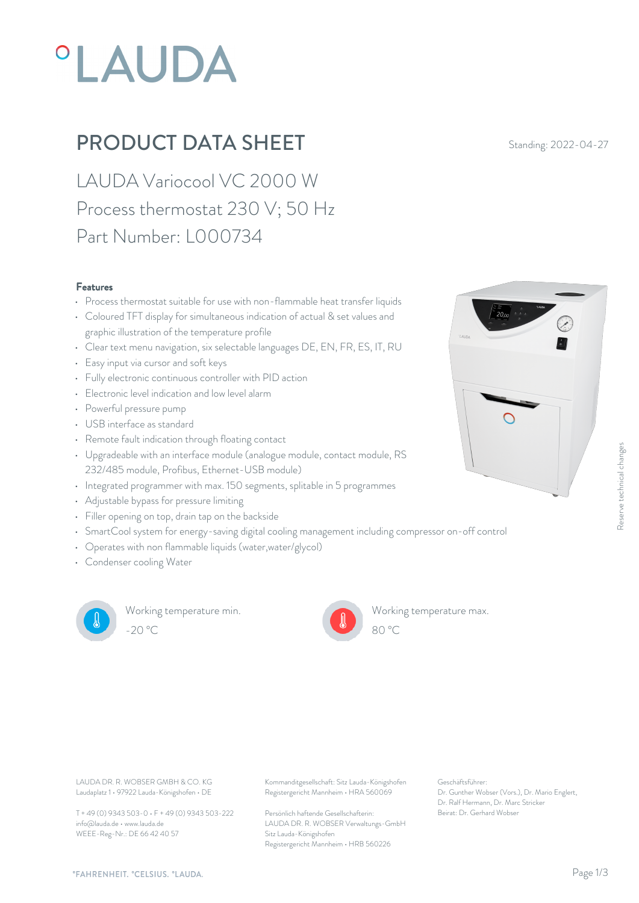# **°LAUDA**

### **PRODUCT DATA SHEET** Standing: 2022-04-27

LAUDA Variocool VC 2000 W Process thermostat 230 V; 50 Hz Part Number: L000734

#### Features

- Process thermostat suitable for use with non-flammable heat transfer liquids<br>Coloured TET disclous for simultaneous indication of octual Supervisions and
- Coloured TFT display for simultaneous indication of actual & set values and graphic illustration of the temperature profile
- Clear text menu navigation, six selectable languages DE, EN, FR, ES, IT, RU
- Easy input via cursor and soft keys
- Fully electronic continuous controller with PID action
- Electronic level indication and low level alarm
- Powerful pressure pump
- USB interface as standard
- Remote fault indication through floating contact
- Upgradeable with an interface module (analogue module, contact module, RS 232/485 module, Profibus, Ethernet-USB module)
- Integrated programmer with max. 150 segments, splitable in 5 programmes
- Adjustable bypass for pressure limiting
- Filler opening on top, drain tap on the backside
- SmartCool system for energy-saving digital cooling management including compressor on-off control
- Operates with non flammable liquids (water,water/glycol)
- Condenser cooling Water



Working temperature min. -20 °C 80 °C



Working temperature max.



Laudaplatz 1 • 97922 Lauda-Königshofen • DE

T + 49 (0) 9343 503-0 • F + 49 (0) 9343 503-222 info@lauda.de • www.lauda.de WEEE-Reg-Nr.: DE 66 42 40 57

LAUDA DR. R. WOBSER GMBH & CO. KG Kommanditgesellschaft: Sitz Lauda-Königshofen Geschäftsführer: Registergericht Mannheim • HRA 560069

> Persönlich haftende Gesellschafterin: Beirat: Dr. Gerhard Wobse LAUDA DR. R. WOBSER Verwaltungs-GmbH Sitz Lauda-Königshofen Registergericht Mannheim • HRB 560226

Geschäftsführer: Dr. Gunther Wobser (Vors.), Dr. Mario Englert, Dr. Ralf Hermann, Dr. Marc Stricker

80 °C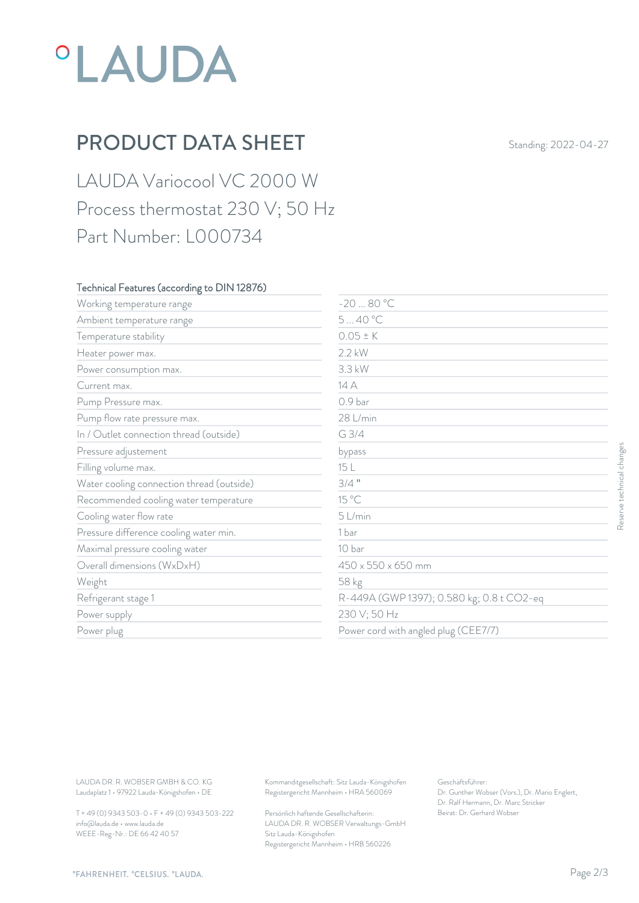## *°LAUDA*

## PRODUCT DATA SHEET Standing: 2022-04-27

LAUDA Variocool VC 2000 W Process thermostat 230 V; 50 Hz Part Number: L000734

#### Technical Features (according to DIN 12876)

| Working temperature range                                                        | $-2080 °C$                                                                             |                                                                                                           |                           |
|----------------------------------------------------------------------------------|----------------------------------------------------------------------------------------|-----------------------------------------------------------------------------------------------------------|---------------------------|
| Ambient temperature range                                                        | 540 °C                                                                                 |                                                                                                           |                           |
| Temperature stability                                                            | $0.05 \pm K$                                                                           |                                                                                                           |                           |
| Heater power max.                                                                | 2.2 kW                                                                                 |                                                                                                           |                           |
| Power consumption max.                                                           | 3.3 kW                                                                                 |                                                                                                           |                           |
| Current max.                                                                     | 14 A                                                                                   |                                                                                                           |                           |
| Pump Pressure max.                                                               | 0.9 bar                                                                                |                                                                                                           |                           |
| Pump flow rate pressure max.                                                     | 28 L/min                                                                               |                                                                                                           |                           |
| In / Outlet connection thread (outside)                                          | G 3/4                                                                                  |                                                                                                           |                           |
| Pressure adjustement                                                             | bypass                                                                                 |                                                                                                           |                           |
| Filling volume max.                                                              | 15 L                                                                                   |                                                                                                           |                           |
| Water cooling connection thread (outside)                                        | $3/4$ "                                                                                |                                                                                                           | Reserve technical changes |
| Recommended cooling water temperature                                            | 15 °C                                                                                  |                                                                                                           |                           |
| Cooling water flow rate                                                          | 5 L/min                                                                                |                                                                                                           |                           |
| Pressure difference cooling water min.                                           | 1 bar                                                                                  |                                                                                                           |                           |
| Maximal pressure cooling water                                                   | 10 bar                                                                                 |                                                                                                           |                           |
| Overall dimensions (WxDxH)                                                       | 450 x 550 x 650 mm                                                                     |                                                                                                           |                           |
| Weight                                                                           | 58 kg                                                                                  |                                                                                                           |                           |
| Refrigerant stage 1                                                              |                                                                                        | R-449A (GWP 1397); 0.580 kg; 0.8 t CO2-eq                                                                 |                           |
| Power supply                                                                     | 230 V; 50 Hz                                                                           |                                                                                                           |                           |
| Power plug                                                                       | Power cord with angled plug (CEE7/7)                                                   |                                                                                                           |                           |
|                                                                                  |                                                                                        |                                                                                                           |                           |
| LAUDA DR. R. WOBSER GMBH & CO. KG<br>Laudaplatz 1 · 97922 Lauda-Königshofen · DE | Kommanditgesellschaft: Sitz Lauda-Königshofen<br>Registergericht Mannheim · HRA 560069 | Geschäftsführer:<br>Dr. Gunther Wobser (Vors.), Dr. Mario Englert,<br>Dr. Ralf Hermann, Dr. Marc Stricker |                           |
| T + 49 (0) 9343 503-0 · F + 49 (0) 9343 503-222                                  | Persönlich haftende Gesellschafterin:                                                  | Beirat: Dr. Gerhard Wobser                                                                                |                           |

T + 49 (0) 9343 503-0 • F + 49 (0) 9343 503-222 info@lauda.de • www.lauda.de WEEE-Reg-Nr.: DE 66 42 40 57

> Persönlich haftende Gesellschafterin: Beirat: Dr. Gerhard Wobser LAUDA DR. R. WOBSER Verwaltungs-GmbH Sitz Lauda-Königshofen Registergericht Mannheim • HRB 560226